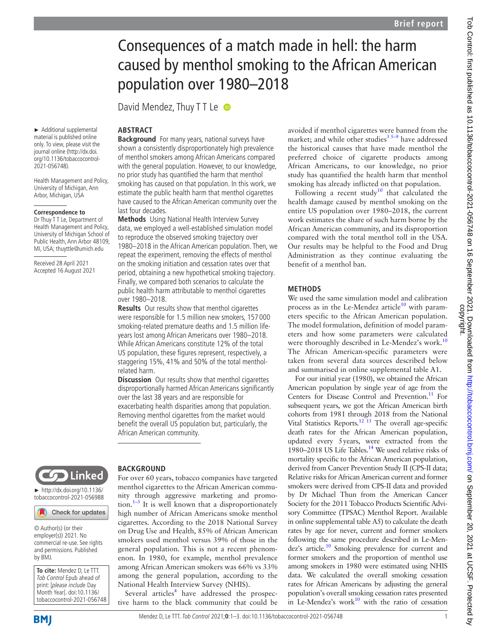# Consequences of a match made in hell: the harm caused by menthol smoking to the African American population over 1980–2018

David Mendez, Thuy T T Le

estimate the public health harm that menthol cigarettes have caused to the African American community over the

**Methods** Using National Health Interview Survey data, we employed a well-established simulation model to reproduce the observed smoking trajectory over 1980–2018 in the African American population. Then, we repeat the experiment, removing the effects of menthol on the smoking initiation and cessation rates over that period, obtaining a new hypothetical smoking trajectory. Finally, we compared both scenarios to calculate the public health harm attributable to menthol cigarettes

**Results** Our results show that menthol cigarettes were responsible for 1.5 million new smokers, 157 000 smoking-related premature deaths and 1.5 million lifeyears lost among African Americans over 1980–2018. While African Americans constitute 12% of the total US population, these figures represent, respectively, a staggering 15%, 41% and 50% of the total menthol-

**Discussion** Our results show that menthol cigarettes disproportionally harmed African Americans significantly

exacerbating health disparities among that population. Removing menthol cigarettes from the market would benefit the overall US population but, particularly, the

over the last 38 years and are responsible for

# **ABSTRACT**

last four decades.

over 1980–2018.

related harm.

► Additional supplemental material is published online only. To view, please visit the journal online (http://dx.doi. org/10.1136/tobaccocontrol-2021-056748). Health Management and Policy, **Background** For many years, national surveys have shown a consistently disproportionately high prevalence of menthol smokers among African Americans compared with the general population. However, to our knowledge, no prior study has quantified the harm that menthol smoking has caused on that population. In this work, we

University of Michigan, Ann Arbor, Michigan, USA

#### **Correspondence to**

Dr Thuy T T Le, Department of Health Management and Policy, University of Michigan School of Public Health, Ann Arbor 48109, MI, USA; thuyttle@umich.edu

Received 28 April 2021 Accepted 16 August 2021



► http://dx.doi.org/10.1136/ tobaccocontrol-2021-056988

Check for updates

© Author(s) (or their employer(s)) 2021. No commercial re-use. See rights and permissions. Published by BMJ.

**To cite:** Mendez D, Le TTT. Tob Control Epub ahead of print: [please include Day Month Year]. doi:10.1136/ tobaccocontrol-2021-056748

# **BACKGROUND**

African American community.

For over 60 years, tobacco companies have targeted menthol cigarettes to the African American community through aggressive marketing and promotion. $1-3$  It is well known that a disproportionately high number of African Americans smoke menthol cigarettes. According to the 2018 National Survey on Drug Use and Health, 85% of African American smokers used menthol versus 39% of those in the general population. This is not a recent phenomenon. In 1980, for example, menthol prevalence among African American smokers was 66% vs 33% among the general population, according to the National Health Interview Survey (NHIS).

Several articles<sup>4</sup> have addressed the prospective harm to the black community that could be avoided if menthol cigarettes were banned from the market; and while other studies<sup>3 5–9</sup> have addressed the historical causes that have made menthol the preferred choice of cigarette products among African Americans, to our knowledge, no prior study has quantified the health harm that menthol smoking has already inflicted on that population.

Following a recent study<sup>10</sup> that calculated the health damage caused by menthol smoking on the entire US population over 1980–2018, the current work estimates the share of such harm borne by the African American community, and its disproportion compared with the total menthol toll in the USA. Our results may be helpful to the Food and Drug Administration as they continue evaluating the benefit of a menthol ban.

### **METHODS**

We used the same simulation model and calibration process as in the Le-Mendez article<sup>10</sup> with parameters specific to the African American population. The model formulation, definition of model parameters and how some parameters were calculated were thoroughly described in Le-Mendez's work.<sup>10</sup> The African American-specific parameters were taken from several data sources described below and summarised in online supplemental table A1.

For our initial year (1980), we obtained the African American population by single year of age from the Centers for Disease Control and Prevention.<sup>11</sup> For subsequent years, we got the African American birth cohorts from 1981 through 2018 from the National Vital Statistics Reports.<sup>12 13</sup> The overall age-specific death rates for the African American population, updated every 5years, were extracted from the 1980–2018 US Life Tables.<sup>14</sup> We used relative risks of mortality specific to the African American population, derived from Cancer Prevention Study II (CPS-II data; Relative risks for African American current and former smokers were derived from CPS-II data and provided by Dr Michael Thun from the American Cancer Society for the 2011 Tobacco Products Scientific Advisory Committee (TPSAC) Menthol Report. Available in online supplemental table A5) to calculate the death rates by age for never, current and former smokers following the same procedure described in Le-Mendez's article.<sup>10</sup> Smoking prevalence for current and former smokers and the proportion of menthol use among smokers in 1980 were estimated using NHIS data. We calculated the overall smoking cessation rates for African Americans by adjusting the general population's overall smoking cessation rates presented in Le-Mendez's work $10$  with the ratio of cessation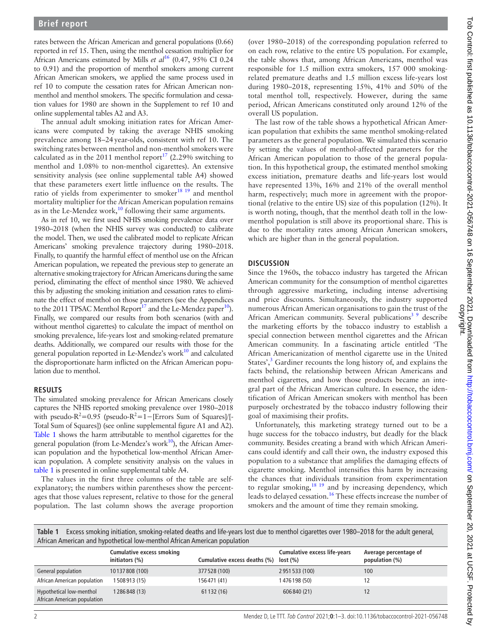rates between the African American and general populations (0.66) reported in ref 15. Then, using the menthol cessation multiplier for African Americans estimated by Mills *et al*<sup>16</sup> (0.47, 95% CI 0.24 to 0.91) and the proportion of menthol smokers among current African American smokers, we applied the same process used in ref 10 to compute the cessation rates for African American nonmenthol and menthol smokers. The specific formulation and cessation values for 1980 are shown in the Supplement to ref 10 and online supplemental tables A2 and A3.

The annual adult smoking initiation rates for African Americans were computed by taking the average NHIS smoking prevalence among 18–24year-olds, consistent with ref 10. The switching rates between menthol and non-menthol smokers were calculated as in the 2011 menthol report<sup>17</sup> (2.29% switching to menthol and 1.08% to non-menthol cigarettes). An extensive sensitivity analysis (see online supplemental table A4) showed that these parameters exert little influence on the results. The ratio of yields from experimenter to smoker $18$  19 and menthol mortality multiplier for the African American population remains as in the Le-Mendez work,<sup>10</sup> following their same arguments.

As in ref 10, we first used NHIS smoking prevalence data over 1980–2018 (when the NHIS survey was conducted) to calibrate the model. Then, we used the calibrated model to replicate African Americans' smoking prevalence trajectory during 1980–2018. Finally, to quantify the harmful effect of menthol use on the African American population, we repeated the previous step to generate an alternative smoking trajectory for African Americans during the same period, eliminating the effect of menthol since 1980. We achieved this by adjusting the smoking initiation and cessation rates to eliminate the effect of menthol on those parameters (see the Appendices to the 2011 TPSAC Menthol Report<sup>17</sup> and the Le-Mendez paper<sup>10</sup>). Finally, we compared our results from both scenarios (with and without menthol cigarettes) to calculate the impact of menthol on smoking prevalence, life-years lost and smoking-related premature deaths. Additionally, we compared our results with those for the general population reported in Le-Mendez's work $10$  and calculated the disproportionate harm inflicted on the African American population due to menthol.

#### **RESULTS**

The simulated smoking prevalence for African Americans closely captures the NHIS reported smoking prevalence over 1980–2018 with pseudo- $R^2$ =0.95 (pseudo- $R^2$ =1–[Errors Sum of Squares]/[-Total Sum of Squares]) (see online supplemental figure A1 and A2). Table 1 shows the harm attributable to menthol cigarettes for the general population (from Le-Mendez's work $10$ ), the African American population and the hypothetical low-menthol African American population. A complete sensitivity analysis on the values in table 1 is presented in online supplemental table A4.

The values in the first three columns of the table are selfexplanatory; the numbers within parentheses show the percentages that those values represent, relative to those for the general population. The last column shows the average proportion

(over 1980–2018) of the corresponding population referred to on each row, relative to the entire US population. For example, the table shows that, among African Americans, menthol was responsible for 1.5 million extra smokers, 157 000 smokingrelated premature deaths and 1.5 million excess life-years lost during 1980–2018, representing 15%, 41% and 50% of the total menthol toll, respectively. However, during the same period, African Americans constituted only around 12% of the overall US population.

The last row of the table shows a hypothetical African American population that exhibits the same menthol smoking-related parameters as the general population. We simulated this scenario by setting the values of menthol-affected parameters for the African American population to those of the general population. In this hypothetical group, the estimated menthol smoking excess initiation, premature deaths and life-years lost would have represented 13%, 16% and 21% of the overall menthol harm, respectively; much more in agreement with the proportional (relative to the entire US) size of this population (12%). It is worth noting, though, that the menthol death toll in the lowmenthol population is still above its proportional share. This is due to the mortality rates among African American smokers, which are higher than in the general population.

#### **DISCUSSION**

Since the 1960s, the tobacco industry has targeted the African American community for the consumption of menthol cigarettes through aggressive marketing, including intense advertising and price discounts. Simultaneously, the industry supported numerous African American organisations to gain the trust of the African American community. Several publications<sup>3</sup><sup>9</sup> describe the marketing efforts by the tobacco industry to establish a special connection between menthol cigarettes and the African American community. In a fascinating article entitled 'The African Americanization of menthol cigarette use in the United States',<sup>3</sup> Gardiner recounts the long history of, and explains the facts behind, the relationship between African Americans and menthol cigarettes, and how those products became an integral part of the African American culture. In essence, the identification of African American smokers with menthol has been purposely orchestrated by the tobacco industry following their goal of maximising their profits.

Unfortunately, this marketing strategy turned out to be a huge success for the tobacco industry, but deadly for the black community. Besides creating a brand with which African Americans could identify and call their own, the industry exposed this population to a substance that amplifies the damaging effects of cigarette smoking. Menthol intensifies this harm by increasing the chances that individuals transition from experimentation to regular smoking,<sup>18 19</sup> and by increasing dependency, which leads to delayed cessation.<sup>16</sup> These effects increase the number of smokers and the amount of time they remain smoking.

**Table 1** Excess smoking initiation, smoking-related deaths and life-years lost due to menthol cigarettes over 1980–2018 for the adult general, African American and hypothetical low-menthol African American population

|                                                         | <b>Cumulative excess smoking</b><br>initiators (%) | Cumulative excess deaths (%) | Cumulative excess life-years<br>lost (%) | Average percentage of<br>population (%) |
|---------------------------------------------------------|----------------------------------------------------|------------------------------|------------------------------------------|-----------------------------------------|
| General population                                      | 10137808 (100)                                     | 377528 (100)                 | 2951533 (100)                            | 100                                     |
| African American population                             | 1508913 (15)                                       | 156471 (41)                  | 1476198 (50)                             |                                         |
| Hypothetical low-menthol<br>African American population | 1286848 (13)                                       | 61 132 (16)                  | 606840 (21)                              |                                         |